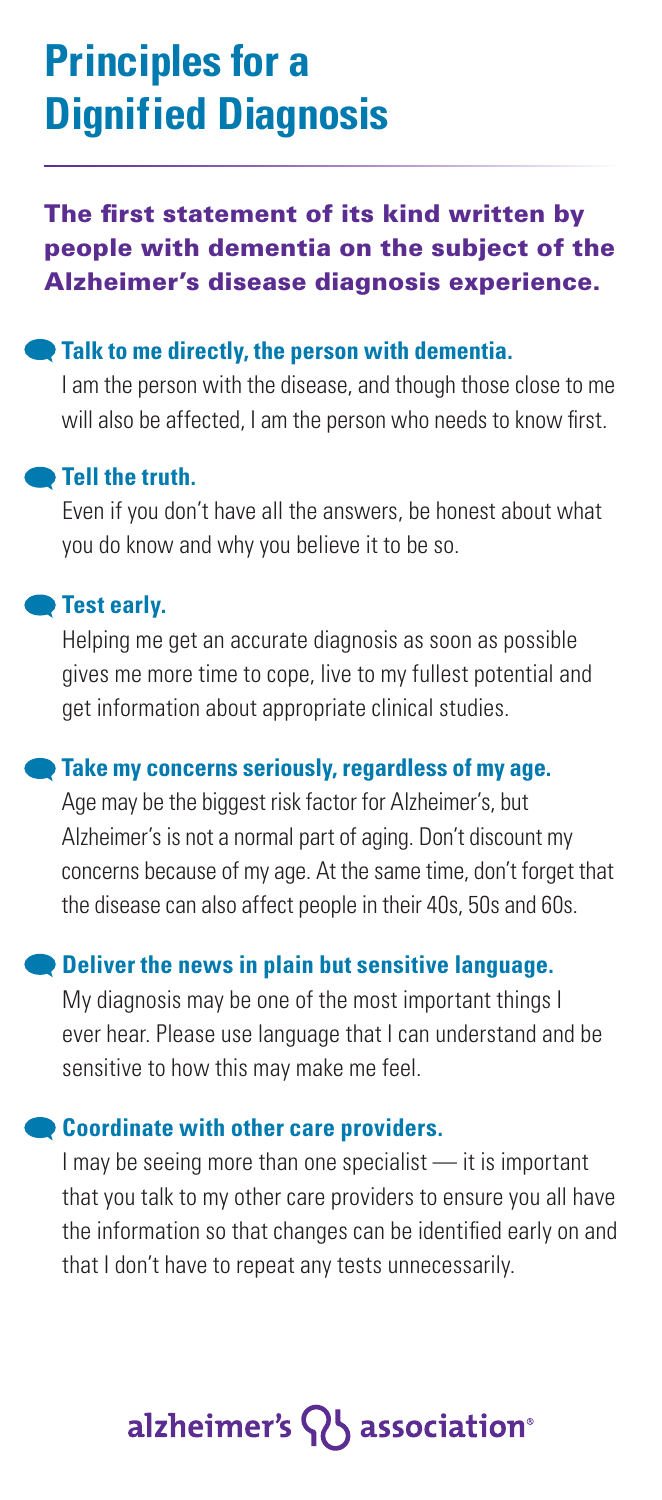## **Principles for a Dignified Diagnosis**

The first statement of its kind written by people with dementia on the subject of the Alzheimer's disease diagnosis experience.

## **• Talk to me directly, the person with dementia.**

I am the person with the disease, and though those close to me will also be affected, I am the person who needs to know first.

### **• Tell the truth.**

Even if you don't have all the answers, be honest about what you do know and why you believe it to be so.

### **• Test early.**

Helping me get an accurate diagnosis as soon as possible gives me more time to cope, live to my fullest potential and get information about appropriate clinical studies.

## **• Take my concerns seriously, regardless of my age.**

Age may be the biggest risk factor for Alzheimer's, but Alzheimer's is not a normal part of aging. Don't discount my concerns because of my age. At the same time, don't forget that the disease can also affect people in their 40s, 50s and 60s.

#### **• Deliver the news in plain but sensitive language.**

My diagnosis may be one of the most important things I ever hear. Please use language that I can understand and be sensitive to how this may make me feel.

### **• Coordinate with other care providers.**

I may be seeing more than one specialist — it is important that you talk to my other care providers to ensure you all have the information so that changes can be identified early on and that I don't have to repeat any tests unnecessarily.

# alzheimer's  $\{ \}$  association<sup>®</sup>